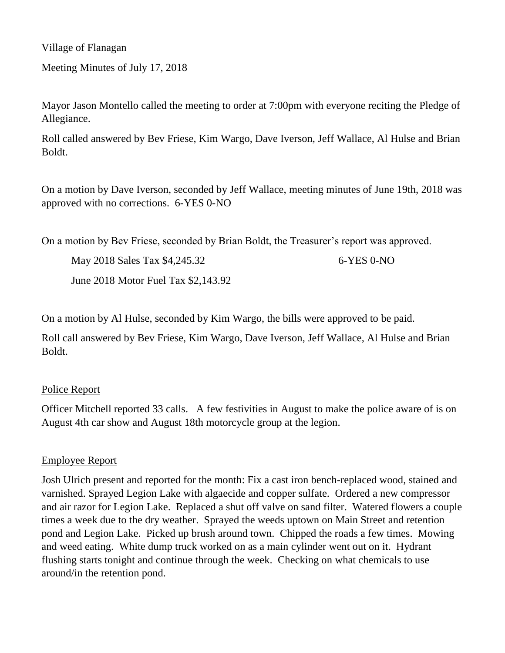Village of Flanagan

Meeting Minutes of July 17, 2018

Mayor Jason Montello called the meeting to order at 7:00pm with everyone reciting the Pledge of Allegiance.

Roll called answered by Bev Friese, Kim Wargo, Dave Iverson, Jeff Wallace, Al Hulse and Brian Boldt.

On a motion by Dave Iverson, seconded by Jeff Wallace, meeting minutes of June 19th, 2018 was approved with no corrections. 6-YES 0-NO

On a motion by Bev Friese, seconded by Brian Boldt, the Treasurer's report was approved.

May 2018 Sales Tax \$4,245.32 6-YES 0-NO

June 2018 Motor Fuel Tax \$2,143.92

On a motion by Al Hulse, seconded by Kim Wargo, the bills were approved to be paid.

Roll call answered by Bev Friese, Kim Wargo, Dave Iverson, Jeff Wallace, Al Hulse and Brian Boldt.

### Police Report

Officer Mitchell reported 33 calls. A few festivities in August to make the police aware of is on August 4th car show and August 18th motorcycle group at the legion.

### Employee Report

Josh Ulrich present and reported for the month: Fix a cast iron bench-replaced wood, stained and varnished. Sprayed Legion Lake with algaecide and copper sulfate. Ordered a new compressor and air razor for Legion Lake. Replaced a shut off valve on sand filter. Watered flowers a couple times a week due to the dry weather. Sprayed the weeds uptown on Main Street and retention pond and Legion Lake. Picked up brush around town. Chipped the roads a few times. Mowing and weed eating. White dump truck worked on as a main cylinder went out on it. Hydrant flushing starts tonight and continue through the week. Checking on what chemicals to use around/in the retention pond.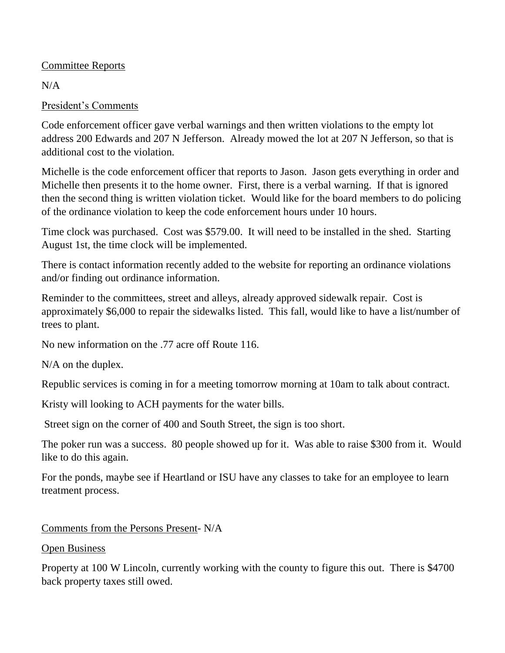### Committee Reports

 $N/A$ 

# President's Comments

Code enforcement officer gave verbal warnings and then written violations to the empty lot address 200 Edwards and 207 N Jefferson. Already mowed the lot at 207 N Jefferson, so that is additional cost to the violation.

Michelle is the code enforcement officer that reports to Jason. Jason gets everything in order and Michelle then presents it to the home owner. First, there is a verbal warning. If that is ignored then the second thing is written violation ticket. Would like for the board members to do policing of the ordinance violation to keep the code enforcement hours under 10 hours.

Time clock was purchased. Cost was \$579.00. It will need to be installed in the shed. Starting August 1st, the time clock will be implemented.

There is contact information recently added to the website for reporting an ordinance violations and/or finding out ordinance information.

Reminder to the committees, street and alleys, already approved sidewalk repair. Cost is approximately \$6,000 to repair the sidewalks listed. This fall, would like to have a list/number of trees to plant.

No new information on the .77 acre off Route 116.

N/A on the duplex.

Republic services is coming in for a meeting tomorrow morning at 10am to talk about contract.

Kristy will looking to ACH payments for the water bills.

Street sign on the corner of 400 and South Street, the sign is too short.

The poker run was a success. 80 people showed up for it. Was able to raise \$300 from it. Would like to do this again.

For the ponds, maybe see if Heartland or ISU have any classes to take for an employee to learn treatment process.

Comments from the Persons Present- N/A

## Open Business

Property at 100 W Lincoln, currently working with the county to figure this out. There is \$4700 back property taxes still owed.